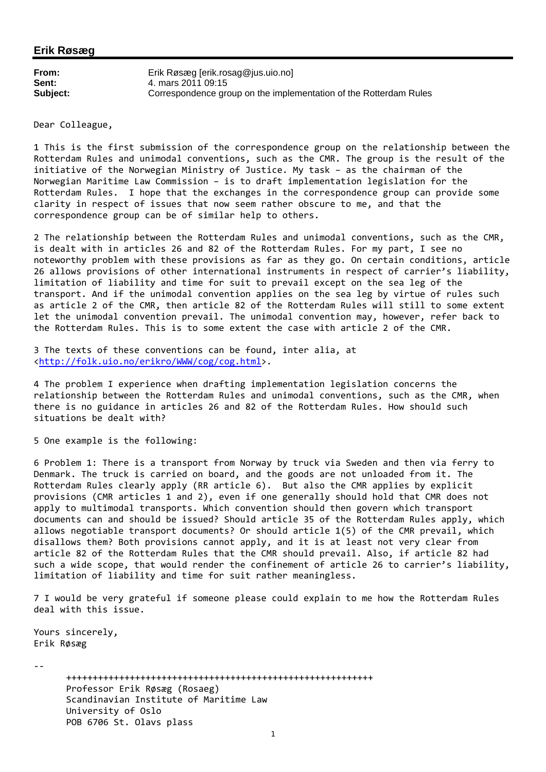## **Erik Røsæg**

| From:    | Erik Røsæg [erik.rosag@jus.uio.no]                                |
|----------|-------------------------------------------------------------------|
| Sent:    | 4. mars 2011 09:15                                                |
| Subject: | Correspondence group on the implementation of the Rotterdam Rules |

Dear Colleague,

1 This is the first submission of the correspondence group on the relationship between the Rotterdam Rules and unimodal conventions, such as the CMR. The group is the result of the initiative of the Norwegian Ministry of Justice. My task – as the chairman of the Norwegian Maritime Law Commission – is to draft implementation legislation for the Rotterdam Rules. I hope that the exchanges in the correspondence group can provide some clarity in respect of issues that now seem rather obscure to me, and that the correspondence group can be of similar help to others.

2 The relationship between the Rotterdam Rules and unimodal conventions, such as the CMR, is dealt with in articles 26 and 82 of the Rotterdam Rules. For my part, I see no noteworthy problem with these provisions as far as they go. On certain conditions, article 26 allows provisions of other international instruments in respect of carrier's liability, limitation of liability and time for suit to prevail except on the sea leg of the transport. And if the unimodal convention applies on the sea leg by virtue of rules such as article 2 of the CMR, then article 82 of the Rotterdam Rules will still to some extent let the unimodal convention prevail. The unimodal convention may, however, refer back to the Rotterdam Rules. This is to some extent the case with article 2 of the CMR.

3 The texts of these conventions can be found, inter alia, at <http://folk.uio.no/erikro/WWW/cog/cog.html>.

4 The problem I experience when drafting implementation legislation concerns the relationship between the Rotterdam Rules and unimodal conventions, such as the CMR, when there is no guidance in articles 26 and 82 of the Rotterdam Rules. How should such situations be dealt with?

5 One example is the following:

6 Problem 1: There is a transport from Norway by truck via Sweden and then via ferry to Denmark. The truck is carried on board, and the goods are not unloaded from it. The Rotterdam Rules clearly apply (RR article 6). But also the CMR applies by explicit provisions (CMR articles 1 and 2), even if one generally should hold that CMR does not apply to multimodal transports. Which convention should then govern which transport documents can and should be issued? Should article 35 of the Rotterdam Rules apply, which allows negotiable transport documents? Or should article 1(5) of the CMR prevail, which disallows them? Both provisions cannot apply, and it is at least not very clear from article 82 of the Rotterdam Rules that the CMR should prevail. Also, if article 82 had such a wide scope, that would render the confinement of article 26 to carrier's liability, limitation of liability and time for suit rather meaningless.

7 I would be very grateful if someone please could explain to me how the Rotterdam Rules deal with this issue.

Yours sincerely, Erik Røsæg

‐‐

++++++++++++++++++++++++++++++++++++++++++++++++++++++++++ Professor Erik Røsæg (Rosaeg) Scandinavian Institute of Maritime Law University of Oslo POB 6706 St. Olavs plass